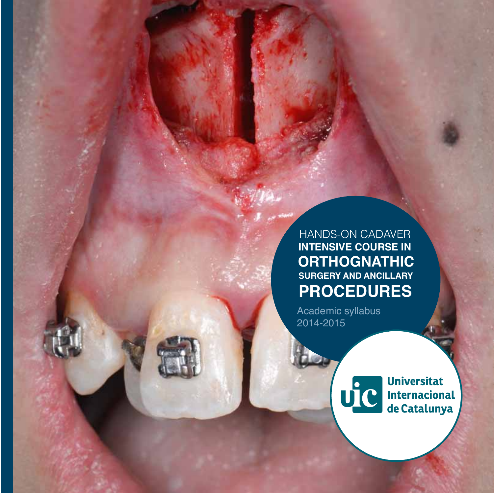HANDS-ON CADAVER **INTENSIVE COURSE IN ORTHOGNATHIC SURGERY AND ANCILLARY PROCEDURES**

Academic syllabus 2014-2015



**Universitat** Internacional<br>de Catalunya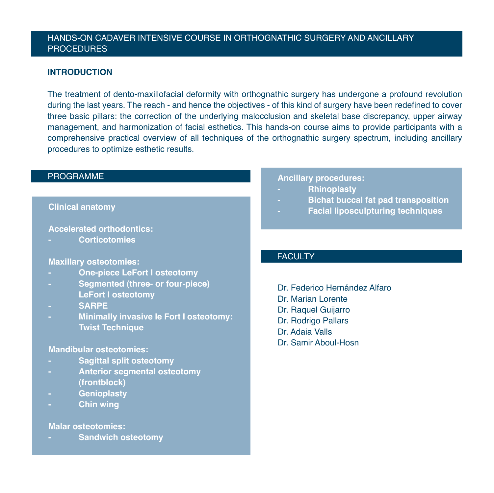## HANDS-ON CADAVER INTENSIVE COURSE IN ORTHOGNATHIC SURGERY AND ANCILLARY PROCEDURES

### **INTRODUCTION**

The treatment of dento-maxillofacial deformity with orthognathic surgery has undergone a profound revolution during the last years. The reach - and hence the objectives - of this kind of surgery have been redefined to cover three basic pillars: the correction of the underlying malocclusion and skeletal base discrepancy, upper airway management, and harmonization of facial esthetics. This hands-on course aims to provide participants with a comprehensive practical overview of all techniques of the orthognathic surgery spectrum, including ancillary procedures to optimize esthetic results.

## PROGRAMME

#### **Clinical anatomy**

**Accelerated orthodontics:** 

**- Corticotomies**

### **Maxillary osteotomies:**

- **- One-piece LeFort I osteotomy**
- **- Segmented (three- or four-piece) LeFort I osteotomy**
- **- SARPE**
- **- Minimally invasive le Fort I osteotomy: Twist Technique**

#### **Mandibular osteotomies:**

- **- Sagittal split osteotomy**
- **- Anterior segmental osteotomy (frontblock)**
- **- Genioplasty**
- **- Chin wing**

#### **Malar osteotomies:**

**- Sandwich osteotomy**

#### **Ancillary procedures:**

- **- Rhinoplasty**
- **- Bichat buccal fat pad transposition**
- **- Facial liposculpturing techniques**

## **FACULTY**

Dr. Federico Hernández Alfaro Dr. Marian Lorente Dr. Raquel Guijarro Dr. Rodrigo Pallars Dr. Adaia Valls Dr. Samir Aboul-Hosn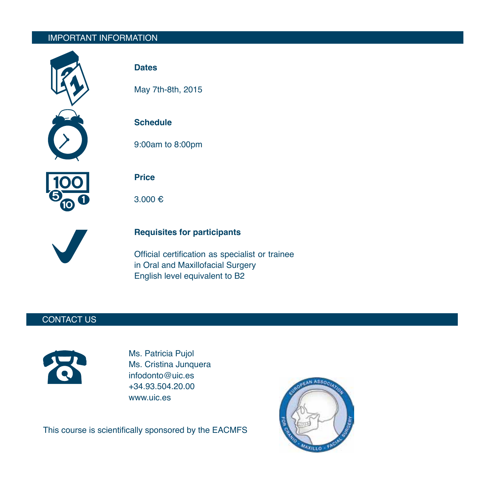# IMPORTANT INFORMATION



## **Dates**

May 7th-8th, 2015

# **Schedule**

9:00am to 8:00pm



**Price** 

3.000



# **Requisites for participants**

Official certification as specialist or trainee in Oral and Maxillofacial Surgery English level equivalent to B2

## CONTACT US



Ms. Patricia Pujol Ms. Cristina Junquera infodonto@uic.es +34.93.504.20.00 www.uic.es

This course is scientifically sponsored by the EACMFS